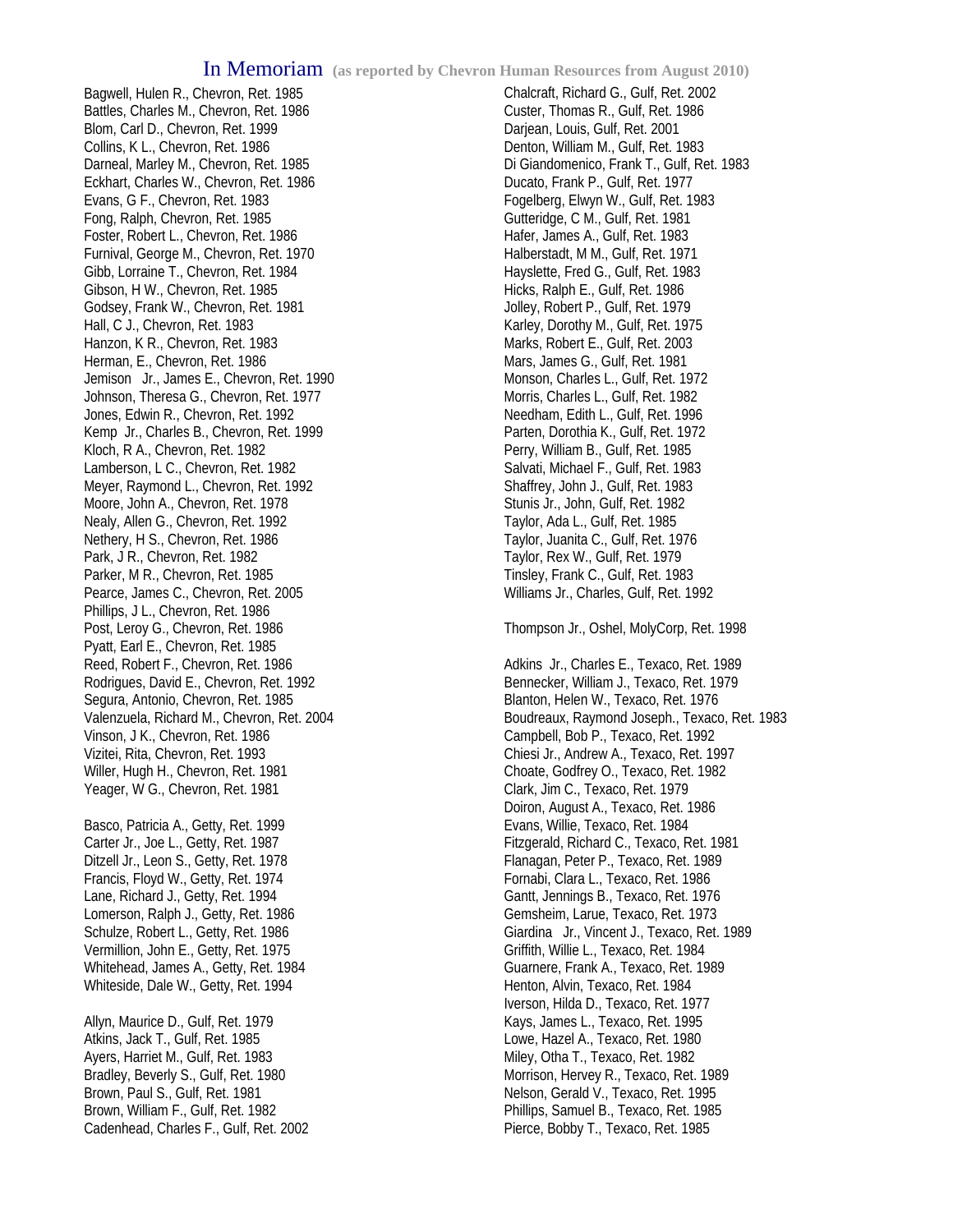Bagwell, Hulen R., Chevron, Ret. 1985 Battles, Charles M., Chevron, Ret. 1986 Blom, Carl D., Chevron, Ret. 1999 Collins, K L., Chevron, Ret. 1986 Darneal, Marley M., Chevron, Ret. 1985 Eckhart, Charles W., Chevron, Ret. 1986 Evans, G F., Chevron, Ret. 1983 Fong, Ralph, Chevron, Ret. 1985 Foster, Robert L., Chevron, Ret. 1986 Furnival, George M., Chevron, Ret. 1970 Gibb, Lorraine T., Chevron, Ret. 1984 Gibson, H W., Chevron, Ret. 1985 Godsey, Frank W., Chevron, Ret. 1981 Hall, C J., Chevron, Ret. 1983 Hanzon, K R., Chevron, Ret. 1983 Herman, E., Chevron, Ret. 1986 Jemison Jr., James E., Chevron, Ret. 1990 Johnson, Theresa G., Chevron, Ret. 1977 Jones, Edwin R., Chevron, Ret. 1992 Kemp Jr., Charles B., Chevron, Ret. 1999 Kloch, R A., Chevron, Ret. 1982 Lamberson, L C., Chevron, Ret. 1982 Meyer, Raymond L., Chevron, Ret. 1992 Moore, John A., Chevron, Ret. 1978 Nealy, Allen G., Chevron, Ret. 1992 Nethery, H S., Chevron, Ret. 1986 Park, J R., Chevron, Ret. 1982 Parker, M R., Chevron, Ret. 1985 Pearce, James C., Chevron, Ret. 2005 Phillips, J L., Chevron, Ret. 1986 Post, Leroy G., Chevron, Ret. 1986 Pyatt, Earl E., Chevron, Ret. 1985 Reed, Robert F., Chevron, Ret. 1986 Rodrigues, David E., Chevron, Ret. 1992 Segura, Antonio, Chevron, Ret. 1985 Valenzuela, Richard M., Chevron, Ret. 2004 Vinson, J K., Chevron, Ret. 1986 Vizitei, Rita, Chevron, Ret. 1993 Willer, Hugh H., Chevron, Ret. 1981 Yeager, W G., Chevron, Ret. 1981

Basco, Patricia A., Getty, Ret. 1999 Carter Jr., Joe L., Getty, Ret. 1987 Ditzell Jr., Leon S., Getty, Ret. 1978 Francis, Floyd W., Getty, Ret. 1974 Lane, Richard J., Getty, Ret. 1994 Lomerson, Ralph J., Getty, Ret. 1986 Schulze, Robert L., Getty, Ret. 1986 Vermillion, John E., Getty, Ret. 1975 Whitehead, James A., Getty, Ret. 1984 Whiteside, Dale W., Getty, Ret. 1994

Allyn, Maurice D., Gulf, Ret. 1979 Atkins, Jack T., Gulf, Ret. 1985 Ayers, Harriet M., Gulf, Ret. 1983 Bradley, Beverly S., Gulf, Ret. 1980 Brown, Paul S., Gulf, Ret. 1981 Brown, William F., Gulf, Ret. 1982 Cadenhead, Charles F., Gulf, Ret. 2002

Chalcraft, Richard G., Gulf, Ret. 2002 Custer, Thomas R., Gulf, Ret. 1986 Darjean, Louis, Gulf, Ret. 2001 Denton, William M., Gulf, Ret. 1983 Di Giandomenico, Frank T., Gulf, Ret. 1983 Ducato, Frank P., Gulf, Ret. 1977 Fogelberg, Elwyn W., Gulf, Ret. 1983 Gutteridge, C M., Gulf, Ret. 1981 Hafer, James A., Gulf, Ret. 1983 Halberstadt, M M., Gulf, Ret. 1971 Hayslette, Fred G., Gulf, Ret. 1983 Hicks, Ralph E., Gulf, Ret. 1986 Jolley, Robert P., Gulf, Ret. 1979 Karley, Dorothy M., Gulf, Ret. 1975 Marks, Robert E., Gulf, Ret. 2003 Mars, James G., Gulf, Ret. 1981 Monson, Charles L., Gulf, Ret. 1972 Morris, Charles L., Gulf, Ret. 1982 Needham, Edith L., Gulf, Ret. 1996 Parten, Dorothia K., Gulf, Ret. 1972 Perry, William B., Gulf, Ret. 1985 Salvati, Michael F., Gulf, Ret. 1983 Shaffrey, John J., Gulf, Ret. 1983 Stunis Jr., John, Gulf, Ret. 1982 Taylor, Ada L., Gulf, Ret. 1985 Taylor, Juanita C., Gulf, Ret. 1976 Taylor, Rex W., Gulf, Ret. 1979 Tinsley, Frank C., Gulf, Ret. 1983 Williams Jr., Charles, Gulf, Ret. 1992

Thompson Jr., Oshel, MolyCorp, Ret. 1998

Adkins Jr., Charles E., Texaco, Ret. 1989 Bennecker, William J., Texaco, Ret. 1979 Blanton, Helen W., Texaco, Ret. 1976 Boudreaux, Raymond Joseph., Texaco, Ret. 1983 Campbell, Bob P., Texaco, Ret. 1992 Chiesi Jr., Andrew A., Texaco, Ret. 1997 Choate, Godfrey O., Texaco, Ret. 1982 Clark, Jim C., Texaco, Ret. 1979 Doiron, August A., Texaco, Ret. 1986 Evans, Willie, Texaco, Ret. 1984 Fitzgerald, Richard C., Texaco, Ret. 1981 Flanagan, Peter P., Texaco, Ret. 1989 Fornabi, Clara L., Texaco, Ret. 1986 Gantt, Jennings B., Texaco, Ret. 1976 Gemsheim, Larue, Texaco, Ret. 1973 Giardina Jr., Vincent J., Texaco, Ret. 1989 Griffith, Willie L., Texaco, Ret. 1984 Guarnere, Frank A., Texaco, Ret. 1989 Henton, Alvin, Texaco, Ret. 1984 Iverson, Hilda D., Texaco, Ret. 1977 Kays, James L., Texaco, Ret. 1995 Lowe, Hazel A., Texaco, Ret. 1980 Miley, Otha T., Texaco, Ret. 1982 Morrison, Hervey R., Texaco, Ret. 1989 Nelson, Gerald V., Texaco, Ret. 1995 Phillips, Samuel B., Texaco, Ret. 1985 Pierce, Bobby T., Texaco, Ret. 1985